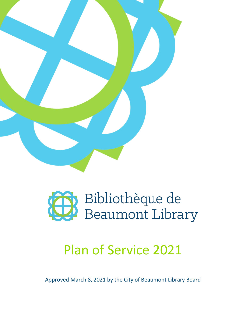

# Bibliothèque de<br>Beaumont Library

## Plan of Service 2021

Approved March 8, 2021 by the City of Beaumont Library Board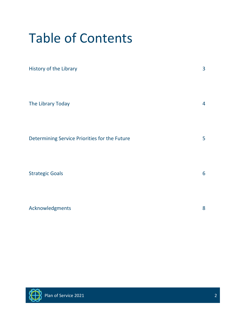# Table of Contents

| <b>History of the Library</b>                 | 3              |
|-----------------------------------------------|----------------|
| The Library Today                             | $\overline{4}$ |
| Determining Service Priorities for the Future | 5              |
| <b>Strategic Goals</b>                        | 6              |
| Acknowledgments                               | 8              |

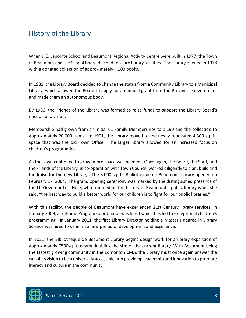When J. E. Lapointe School and Beaumont Regional Activity Centre were built in 1977, the Town of Beaumont and the School Board decided to share library facilities. The Library opened in 1978 with a donated collection of approximately 4,100 books.

In 1981, the Library Board decided to change the statusfrom a Community Library to a Municipal Library, which allowed the Board to apply for an annual grant from the Provincial Government and made them an autonomous body.

By 1986, the Friends of the Library was formed to raise funds to support the Library Board's mission and vision.

Membership had grown from an initial 61 Family Memberships to 1,190 and the collection to approximately 20,000 items. In 1991, the Library moved to the newly renovated 4,300 sq. ft. space that was the old Town Office. The larger library allowed for an increased focus on children's programming.

As the town continued to grow, more space was needed. Once again, the Board, the Staff, and the Friends of the Library, in co-operation with Town Council, worked diligently to plan, build and fundraise for the new Library. The 8,000-sq. ft. Bibliothèque de Beaumont Library opened on February 17, 2004. The grand opening ceremony was marked by the distinguished presence of the Lt.-Governor Lois Hole, who summed up the history of Beaumont's public library when she said, "the best way to build a better world for our children is to fight for our public libraries."

With this facility, the people of Beaumont have experienced 21st Century library services. In January 2009, a full-time Program Coordinator was hired which has led to exceptional children's programming. In January 2011, the first Library Director holding a Master's degree in Library Science was hired to usher in a new period of development and excellence.

In 2021, the Bibliothèque de Beaumont Library begins design work for a library expansion of approximately 7500sq ft, nearly doubling the size of the current library. With Beaumont being the fastest growing community in the Edmonton CMA, the Library must once again answer the call of its vision to be a universally accessible hub providing leadership and innovation to promote literacy and culture in the community.

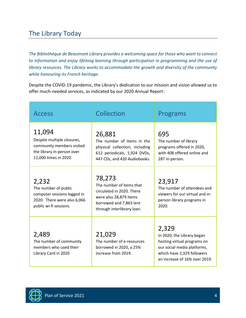### The Library Today

*The Bibliothèque de Beaumont Library provides a welcoming space for those who want to connect to information and enjoy lifelong learning through participation in programming and the use of library resources. The Library works to accommodate the growth and diversity of the community while honouring its French heritage.*

Despite the COVID-19 pandemic, the Library's dedication to our mission and vision allowed us to offer much-needed services, as indicated by our 2020 Annual Report:

| <b>Access</b>                                                                                                           | Collection                                                                                                                                         | Programs                                                                                                                                                         |
|-------------------------------------------------------------------------------------------------------------------------|----------------------------------------------------------------------------------------------------------------------------------------------------|------------------------------------------------------------------------------------------------------------------------------------------------------------------|
| 11,094<br>Despite multiple closures,<br>community members visited<br>the library in-person over<br>11,000 times in 2020 | 26,881<br>The number of items in the<br>physical collection; including<br>612 periodicals, 1,924 DVDs,<br>447 CDs, and 420 Audiobooks.             | 695<br>The number of library<br>programs offered in 2020,<br>with 408 offered online and<br>287 in-person.                                                       |
| 2,232<br>The number of public<br>computer sessions logged in<br>2020. There were also 6,066<br>public wi-fi sessions.   | 78,273<br>The number of items that<br>circulated in 2020. There<br>were also 28,879 items<br>borrowed and 7,863 lent<br>through interlibrary loan. | 23,917<br>The number of attendees and<br>viewers for our virtual and in-<br>person library programs in<br>2020.                                                  |
| 2,489<br>The number of community<br>members who used their<br>Library Card in 2020                                      | 21,029<br>The number of e-resources<br>borrowed in 2020, a 25%<br>increase from 2019.                                                              | 2,329<br>In 2020, the Library began<br>hosting virtual programs on<br>our social media platforms,<br>which have 2,329 followers<br>an increase of 16% over 2019. |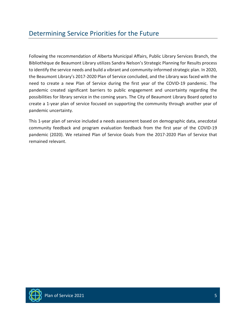Following the recommendation of Alberta Municipal Affairs, Public Library Services Branch, the Bibliothèque de Beaumont Library utilizes Sandra Nelson's Strategic Planning for Results process to identify the service needs and build a vibrant and community-informed strategic plan. In 2020, the Beaumont Library's 2017-2020 Plan of Service concluded, and the Library was faced with the need to create a new Plan of Service during the first year of the COVID-19 pandemic. The pandemic created significant barriers to public engagement and uncertainty regarding the possibilities for library service in the coming years. The City of Beaumont Library Board opted to create a 1-year plan of service focused on supporting the community through another year of pandemic uncertainty.

This 1-year plan of service included a needs assessment based on demographic data, anecdotal community feedback and program evaluation feedback from the first year of the COVID-19 pandemic (2020). We retained Plan of Service Goals from the 2017-2020 Plan of Service that remained relevant.

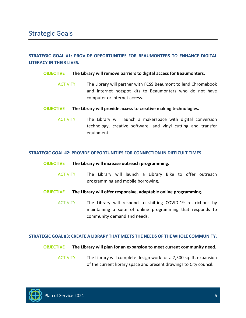#### **STRATEGIC GOAL #1: PROVIDE OPPORTUNITIES FOR BEAUMONTERS TO ENHANCE DIGITAL LITERACY IN THEIR LIVES.**

#### **OBJECTIVE The Library will remove barriers to digital access for Beaumonters.**

ACTIVITY The Library will partner with FCSS Beaumont to lend Chromebook and internet hotspot kits to Beaumonters who do not have computer or internet access.

#### **OBJECTIVE The Library will provide access to creative making technologies.**

ACTIVITY The Library will launch a makerspace with digital conversion technology, creative software, and vinyl cutting and transfer equipment.

#### **STRATEGIC GOAL #2: PROVIDE OPPORTUNITIES FOR CONNECTION IN DIFFICULT TIMES.**

#### **OBJECTIVE The Library will increase outreach programming.**

- ACTIVITY The Library will launch a Library Bike to offer outreach programming and mobile borrowing.
- **OBJECTIVE The Library will offer responsive, adaptable online programming.**
	- ACTIVITY The Library will respond to shifting COVID-19 restrictions by maintaining a suite of online programming that responds to community demand and needs.

#### **STRATEGIC GOAL #3: CREATE A LIBRARY THAT MEETS THE NEEDS OF THE WHOLE COMMUNITY.**

#### **OBJECTIVE The Library will plan for an expansion to meet current community need.**

ACTIVITY The Library will complete design work for a 7,500 sq. ft. expansion of the current library space and present drawings to City council.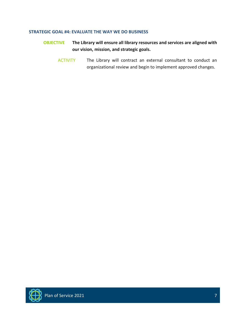#### **STRATEGIC GOAL #4: EVALUATE THE WAY WE DO BUSINESS**

- **OBJECTIVE The Library will ensure all library resources and services are aligned with our vision, mission, and strategic goals.**
	- ACTIVITY The Library will contract an external consultant to conduct an organizational review and begin to implement approved changes.